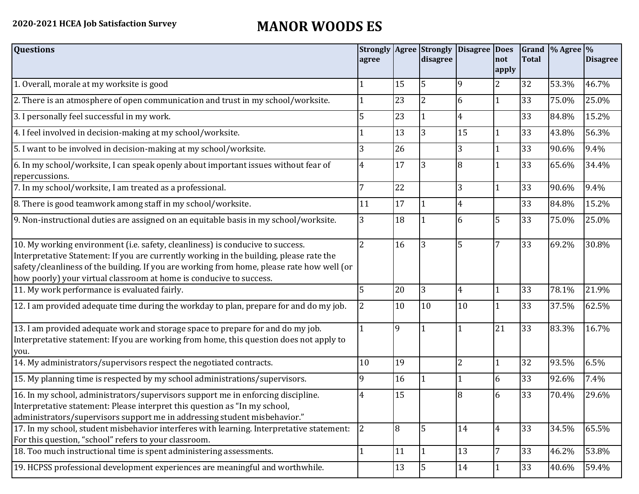## **2020-2021 HCEA Job Satisfaction Survey MANOR WOODS ES**

| <b>Questions</b>                                                                                                                                                                                                                                                                                                                               | agree          |              | <b>Strongly Agree Strongly</b><br>disagree | Disagree Does | not            | <b>Total</b> | Grand $\frac{9}{6}$ Agree $\frac{9}{6}$ | <b>Disagree</b> |
|------------------------------------------------------------------------------------------------------------------------------------------------------------------------------------------------------------------------------------------------------------------------------------------------------------------------------------------------|----------------|--------------|--------------------------------------------|---------------|----------------|--------------|-----------------------------------------|-----------------|
|                                                                                                                                                                                                                                                                                                                                                |                |              |                                            |               | apply          |              |                                         |                 |
| 1. Overall, morale at my worksite is good                                                                                                                                                                                                                                                                                                      |                | 15           | 5                                          | 9             | 2              | 32           | 53.3%                                   | 46.7%           |
| 2. There is an atmosphere of open communication and trust in my school/worksite.                                                                                                                                                                                                                                                               |                | 23           | $\overline{2}$                             | 6             | 1              | 33           | 75.0%                                   | 25.0%           |
| 3. I personally feel successful in my work.                                                                                                                                                                                                                                                                                                    | 5              | 23           |                                            | 4             |                | 33           | 84.8%                                   | 15.2%           |
| 4. I feel involved in decision-making at my school/worksite.                                                                                                                                                                                                                                                                                   |                | 13           | 3                                          | 15            | $\mathbf{1}$   | 33           | 43.8%                                   | 56.3%           |
| 5. I want to be involved in decision-making at my school/worksite.                                                                                                                                                                                                                                                                             | 3              | 26           |                                            | 3             | 1              | 33           | 90.6%                                   | 9.4%            |
| 6. In my school/worksite, I can speak openly about important issues without fear of<br>repercussions.                                                                                                                                                                                                                                          | 4              | 17           | 3                                          | 8             |                | 33           | 65.6%                                   | 34.4%           |
| 7. In my school/worksite, I am treated as a professional.                                                                                                                                                                                                                                                                                      |                | 22           |                                            | 3             | 1              | 33           | 90.6%                                   | 9.4%            |
| 8. There is good teamwork among staff in my school/worksite.                                                                                                                                                                                                                                                                                   | 11             | 17           |                                            | 4             |                | 33           | 84.8%                                   | 15.2%           |
| 9. Non-instructional duties are assigned on an equitable basis in my school/worksite.                                                                                                                                                                                                                                                          | 3              | 18           |                                            | 6             | 5              | 33           | 75.0%                                   | 25.0%           |
| 10. My working environment (i.e. safety, cleanliness) is conducive to success.<br>Interpretative Statement: If you are currently working in the building, please rate the<br>safety/cleanliness of the building. If you are working from home, please rate how well (or<br>how poorly) your virtual classroom at home is conducive to success. | $\overline{2}$ | 16           | 3                                          | 5             | 7              | 33           | 69.2%                                   | 30.8%           |
| 11. My work performance is evaluated fairly.                                                                                                                                                                                                                                                                                                   | 5              | 20           | 3                                          | 4             |                | 33           | 78.1%                                   | 21.9%           |
| 12. I am provided adequate time during the workday to plan, prepare for and do my job.                                                                                                                                                                                                                                                         | 2              | 10           | 10                                         | 10            | 1              | 33           | 37.5%                                   | 62.5%           |
| 13. I am provided adequate work and storage space to prepare for and do my job.<br>Interpretative statement: If you are working from home, this question does not apply to<br>you.                                                                                                                                                             |                | $\mathbf{Q}$ |                                            |               | 21             | 33           | 83.3%                                   | 16.7%           |
| 14. My administrators/supervisors respect the negotiated contracts.                                                                                                                                                                                                                                                                            | 10             | 19           |                                            | 2             |                | 32           | 93.5%                                   | 6.5%            |
| 15. My planning time is respected by my school administrations/supervisors.                                                                                                                                                                                                                                                                    | 9              | 16           |                                            |               | 6              | 33           | 92.6%                                   | 7.4%            |
| 16. In my school, administrators/supervisors support me in enforcing discipline.<br>Interpretative statement: Please interpret this question as "In my school,<br>administrators/supervisors support me in addressing student misbehavior."                                                                                                    | 4              | 15           |                                            | 8             | 6              | 33           | 70.4%                                   | 29.6%           |
| 17. In my school, student misbehavior interferes with learning. Interpretative statement:<br>For this question, "school" refers to your classroom.                                                                                                                                                                                             | 2              | 8            | $\overline{5}$                             | 14            | $\overline{4}$ | 33           | 34.5%                                   | 65.5%           |
| 18. Too much instructional time is spent administering assessments.                                                                                                                                                                                                                                                                            |                | 11           | $\vert$ 1                                  | 13            | 7              | 33           | 46.2%                                   | 53.8%           |
| 19. HCPSS professional development experiences are meaningful and worthwhile.                                                                                                                                                                                                                                                                  |                | 13           | 5                                          | 14            | 1              | 33           | 40.6%                                   | 59.4%           |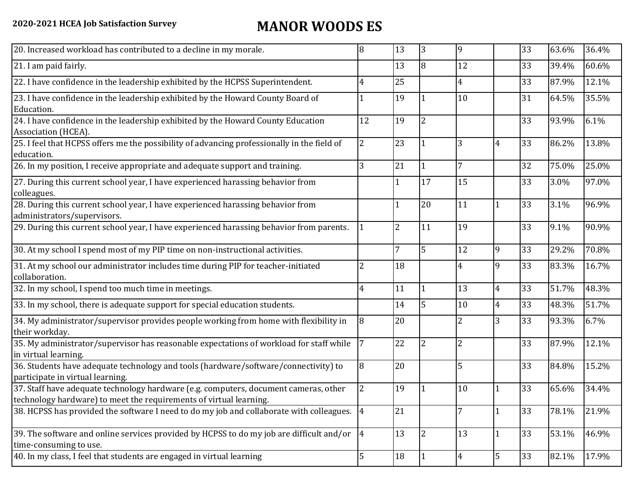## **2020-2021 HCEA Job Satisfaction Survey MANOR WOODS ES**

| 20. Increased workload has contributed to a decline in my morale.                                                                                          | 8              | 13             | 3              | 9              |                | 33 | 63.6% | 36.4% |
|------------------------------------------------------------------------------------------------------------------------------------------------------------|----------------|----------------|----------------|----------------|----------------|----|-------|-------|
| 21. I am paid fairly.                                                                                                                                      |                | 13             | l8             | 12             |                | 33 | 39.4% | 60.6% |
| 22. I have confidence in the leadership exhibited by the HCPSS Superintendent.                                                                             | 4              | 25             |                | 4              |                | 33 | 87.9% | 12.1% |
| 23. I have confidence in the leadership exhibited by the Howard County Board of<br>Education.                                                              |                | 19             |                | 10             |                | 31 | 64.5% | 35.5% |
| 24. I have confidence in the leadership exhibited by the Howard County Education<br>Association (HCEA).                                                    | 12             | 19             | $\overline{2}$ |                |                | 33 | 93.9% | 6.1%  |
| 25. I feel that HCPSS offers me the possibility of advancing professionally in the field of<br>education.                                                  | 2              | 23             | $\mathbf 1$    | 3              | $\overline{4}$ | 33 | 86.2% | 13.8% |
| 26. In my position, I receive appropriate and adequate support and training.                                                                               | 3              | 21             | $\vert$ 1      | 7              |                | 32 | 75.0% | 25.0% |
| 27. During this current school year, I have experienced harassing behavior from<br>colleagues.                                                             |                |                | 17             | 15             |                | 33 | 3.0%  | 97.0% |
| 28. During this current school year, I have experienced harassing behavior from<br>administrators/supervisors.                                             |                |                | 20             | 11             |                | 33 | 3.1%  | 96.9% |
| 29. During this current school year, I have experienced harassing behavior from parents.                                                                   |                | $\overline{2}$ | 11             | 19             |                | 33 | 9.1%  | 90.9% |
| 30. At my school I spend most of my PIP time on non-instructional activities.                                                                              |                | 7              | 5              | 12             | 9              | 33 | 29.2% | 70.8% |
| 31. At my school our administrator includes time during PIP for teacher-initiated<br>collaboration.                                                        |                | 18             |                | 4              | 9              | 33 | 83.3% | 16.7% |
| 32. In my school, I spend too much time in meetings.                                                                                                       | 4              | 11             | $\overline{1}$ | 13             | $\overline{4}$ | 33 | 51.7% | 48.3% |
| 33. In my school, there is adequate support for special education students.                                                                                |                | 14             | 5              | 10             | $\overline{4}$ | 33 | 48.3% | 51.7% |
| 34. My administrator/supervisor provides people working from home with flexibility in<br>their workday.                                                    | 8              | 20             |                | 2              | 3              | 33 | 93.3% | 6.7%  |
| 35. My administrator/supervisor has reasonable expectations of workload for staff while<br>in virtual learning.                                            |                | 22             | $\overline{2}$ | $\overline{2}$ |                | 33 | 87.9% | 12.1% |
| 36. Students have adequate technology and tools (hardware/software/connectivity) to<br>participate in virtual learning.                                    | 8              | 20             |                | 5              |                | 33 | 84.8% | 15.2% |
| 37. Staff have adequate technology hardware (e.g. computers, document cameras, other<br>technology hardware) to meet the requirements of virtual learning. | $\overline{2}$ | 19             |                | 10             |                | 33 | 65.6% | 34.4% |
| 38. HCPSS has provided the software I need to do my job and collaborate with colleagues. 4                                                                 |                | 21             |                |                | 1              | 33 | 78.1% | 21.9% |
| 39. The software and online services provided by HCPSS to do my job are difficult and/or $\left 4\right $<br>time-consuming to use.                        |                | 13             | $\overline{2}$ | 13             |                | 33 | 53.1% | 46.9% |
| 40. In my class, I feel that students are engaged in virtual learning                                                                                      | 5              | 18             |                | 4              | 5              | 33 | 82.1% | 17.9% |